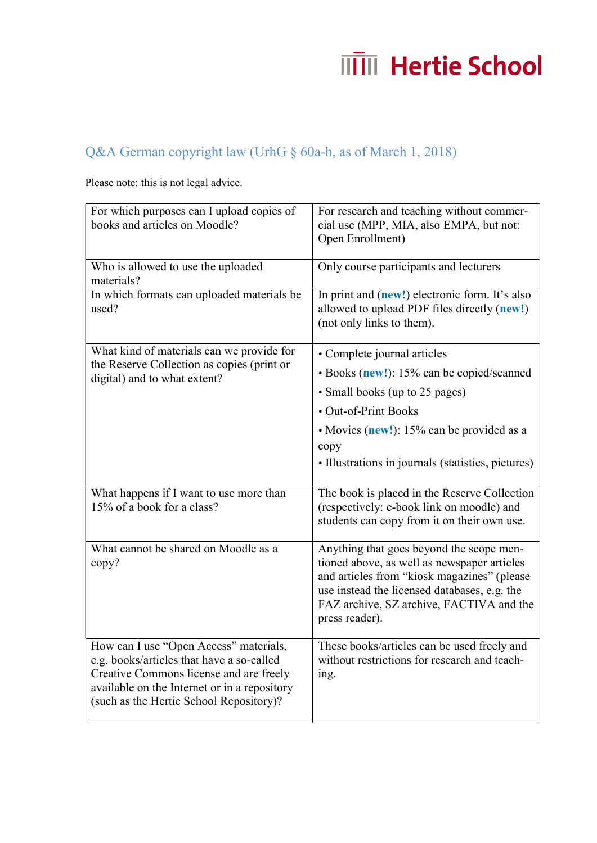## **ITTIII** Hertie School

## Q&A German copyright law (UrhG § 60a-h, as of March 1, 2018)

Please note: this is not legal advice.

| For which purposes can I upload copies of<br>books and articles on Moodle?                                                                                                                                                | For research and teaching without commer-<br>cial use (MPP, MIA, also EMPA, but not:<br>Open Enrollment)                                                                                                                                             |
|---------------------------------------------------------------------------------------------------------------------------------------------------------------------------------------------------------------------------|------------------------------------------------------------------------------------------------------------------------------------------------------------------------------------------------------------------------------------------------------|
| Who is allowed to use the uploaded<br>materials?                                                                                                                                                                          | Only course participants and lecturers                                                                                                                                                                                                               |
| In which formats can uploaded materials be<br>used?                                                                                                                                                                       | In print and (new!) electronic form. It's also<br>allowed to upload PDF files directly (new!)<br>(not only links to them).                                                                                                                           |
| What kind of materials can we provide for<br>the Reserve Collection as copies (print or<br>digital) and to what extent?                                                                                                   | • Complete journal articles                                                                                                                                                                                                                          |
|                                                                                                                                                                                                                           | • Books (new!): 15% can be copied/scanned                                                                                                                                                                                                            |
|                                                                                                                                                                                                                           | · Small books (up to 25 pages)                                                                                                                                                                                                                       |
|                                                                                                                                                                                                                           | • Out-of-Print Books                                                                                                                                                                                                                                 |
|                                                                                                                                                                                                                           | • Movies (new!): 15% can be provided as a<br>copy<br>• Illustrations in journals (statistics, pictures)                                                                                                                                              |
| What happens if I want to use more than<br>15% of a book for a class?                                                                                                                                                     | The book is placed in the Reserve Collection<br>(respectively: e-book link on moodle) and<br>students can copy from it on their own use.                                                                                                             |
| What cannot be shared on Moodle as a<br>copy?                                                                                                                                                                             | Anything that goes beyond the scope men-<br>tioned above, as well as newspaper articles<br>and articles from "kiosk magazines" (please<br>use instead the licensed databases, e.g. the<br>FAZ archive, SZ archive, FACTIVA and the<br>press reader). |
| How can I use "Open Access" materials,<br>e.g. books/articles that have a so-called<br>Creative Commons license and are freely<br>available on the Internet or in a repository<br>(such as the Hertie School Repository)? | These books/articles can be used freely and<br>without restrictions for research and teach-<br>ing.                                                                                                                                                  |